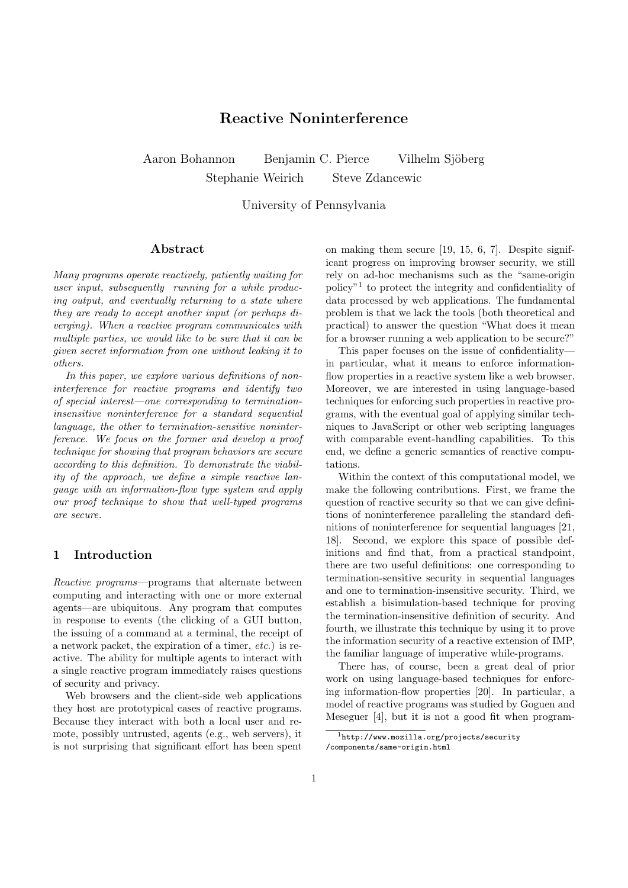# Reactive Noninterference

Aaron Bohannon Benjamin C. Pierce Vilhelm Sjöberg Stephanie Weirich Steve Zdancewic

University of Pennsylvania

## Abstract

Many programs operate reactively, patiently waiting for user input, subsequently running for a while producing output, and eventually returning to a state where they are ready to accept another input (or perhaps diverging). When a reactive program communicates with multiple parties, we would like to be sure that it can be given secret information from one without leaking it to others.

In this paper, we explore various definitions of noninterference for reactive programs and identify two of special interest—one corresponding to terminationinsensitive noninterference for a standard sequential language, the other to termination-sensitive noninterference. We focus on the former and develop a proof technique for showing that program behaviors are secure according to this definition. To demonstrate the viability of the approach, we define a simple reactive language with an information-flow type system and apply our proof technique to show that well-typed programs are secure.

### 1 Introduction

Reactive programs—programs that alternate between computing and interacting with one or more external agents—are ubiquitous. Any program that computes in response to events (the clicking of a GUI button, the issuing of a command at a terminal, the receipt of a network packet, the expiration of a timer, etc.) is reactive. The ability for multiple agents to interact with a single reactive program immediately raises questions of security and privacy.

Web browsers and the client-side web applications they host are prototypical cases of reactive programs. Because they interact with both a local user and remote, possibly untrusted, agents (e.g., web servers), it is not surprising that significant effort has been spent

on making them secure [19, 15, 6, 7]. Despite significant progress on improving browser security, we still rely on ad-hoc mechanisms such as the "same-origin policy"<sup>1</sup> to protect the integrity and confidentiality of data processed by web applications. The fundamental problem is that we lack the tools (both theoretical and practical) to answer the question "What does it mean for a browser running a web application to be secure?"

This paper focuses on the issue of confidentiality in particular, what it means to enforce informationflow properties in a reactive system like a web browser. Moreover, we are interested in using language-based techniques for enforcing such properties in reactive programs, with the eventual goal of applying similar techniques to JavaScript or other web scripting languages with comparable event-handling capabilities. To this end, we define a generic semantics of reactive computations.

Within the context of this computational model, we make the following contributions. First, we frame the question of reactive security so that we can give definitions of noninterference paralleling the standard definitions of noninterference for sequential languages [21, 18]. Second, we explore this space of possible definitions and find that, from a practical standpoint, there are two useful definitions: one corresponding to termination-sensitive security in sequential languages and one to termination-insensitive security. Third, we establish a bisimulation-based technique for proving the termination-insensitive definition of security. And fourth, we illustrate this technique by using it to prove the information security of a reactive extension of IMP, the familiar language of imperative while-programs.

There has, of course, been a great deal of prior work on using language-based techniques for enforcing information-flow properties [20]. In particular, a model of reactive programs was studied by Goguen and Meseguer [4], but it is not a good fit when program-

<sup>1</sup>http://www.mozilla.org/projects/security /components/same-origin.html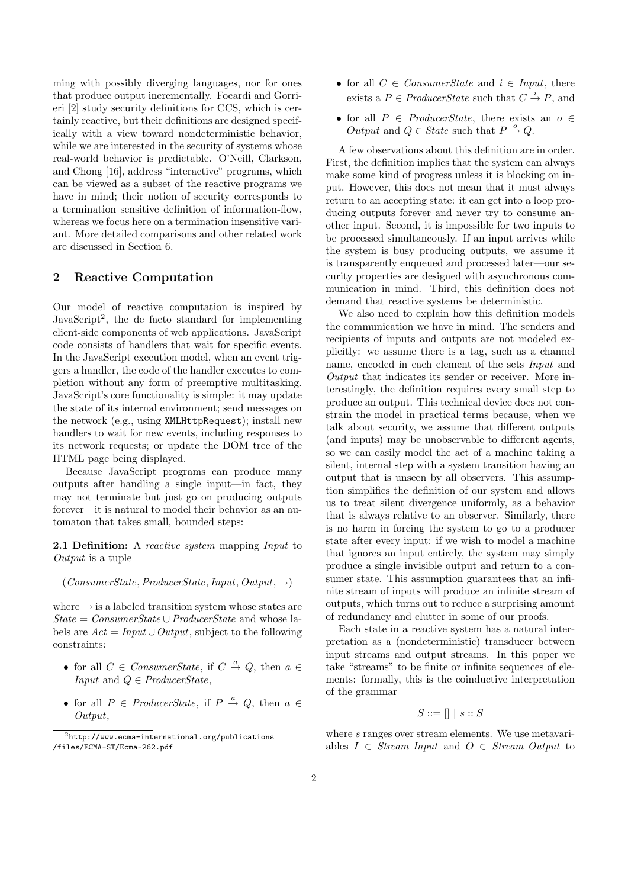ming with possibly diverging languages, nor for ones that produce output incrementally. Focardi and Gorrieri [2] study security definitions for CCS, which is certainly reactive, but their definitions are designed specifically with a view toward nondeterministic behavior, while we are interested in the security of systems whose real-world behavior is predictable. O'Neill, Clarkson, and Chong [16], address "interactive" programs, which can be viewed as a subset of the reactive programs we have in mind; their notion of security corresponds to a termination sensitive definition of information-flow, whereas we focus here on a termination insensitive variant. More detailed comparisons and other related work are discussed in Section 6.

## 2 Reactive Computation

Our model of reactive computation is inspired by JavaScript<sup>2</sup> , the de facto standard for implementing client-side components of web applications. JavaScript code consists of handlers that wait for specific events. In the JavaScript execution model, when an event triggers a handler, the code of the handler executes to completion without any form of preemptive multitasking. JavaScript's core functionality is simple: it may update the state of its internal environment; send messages on the network (e.g., using XMLHttpRequest); install new handlers to wait for new events, including responses to its network requests; or update the DOM tree of the HTML page being displayed.

Because JavaScript programs can produce many outputs after handling a single input—in fact, they may not terminate but just go on producing outputs forever—it is natural to model their behavior as an automaton that takes small, bounded steps:

**2.1 Definition:** A reactive system mapping Input to Output is a tuple

 $(ConsumerState, ProductState, Input, Output, \rightarrow)$ 

where  $\rightarrow$  is a labeled transition system whose states are State = ConsumerState ∪ ProducerState and whose labels are  $Act = Input \cup Output$ , subject to the following constraints:

- for all  $C \in \text{ConsumerState}$ , if  $C \stackrel{a}{\rightarrow} Q$ , then  $a \in$ *Input* and  $Q \in ProductState$ ,
- for all  $P \in \text{ProductState}$ , if  $P \stackrel{a}{\rightarrow} Q$ , then  $a \in$ Output,
- for all  $C \in \textit{ConsumerState}$  and  $i \in \textit{Input}$ , there exists a  $P \in \text{ProductState}$  such that  $C \stackrel{i}{\rightarrow} P$ , and
- for all  $P \in \text{Product}$  factor there exists an  $o \in$ Output and  $Q \in State$  such that  $P \stackrel{o}{\rightarrow} Q$ .

A few observations about this definition are in order. First, the definition implies that the system can always make some kind of progress unless it is blocking on input. However, this does not mean that it must always return to an accepting state: it can get into a loop producing outputs forever and never try to consume another input. Second, it is impossible for two inputs to be processed simultaneously. If an input arrives while the system is busy producing outputs, we assume it is transparently enqueued and processed later—our security properties are designed with asynchronous communication in mind. Third, this definition does not demand that reactive systems be deterministic.

We also need to explain how this definition models the communication we have in mind. The senders and recipients of inputs and outputs are not modeled explicitly: we assume there is a tag, such as a channel name, encoded in each element of the sets Input and Output that indicates its sender or receiver. More interestingly, the definition requires every small step to produce an output. This technical device does not constrain the model in practical terms because, when we talk about security, we assume that different outputs (and inputs) may be unobservable to different agents, so we can easily model the act of a machine taking a silent, internal step with a system transition having an output that is unseen by all observers. This assumption simplifies the definition of our system and allows us to treat silent divergence uniformly, as a behavior that is always relative to an observer. Similarly, there is no harm in forcing the system to go to a producer state after every input: if we wish to model a machine that ignores an input entirely, the system may simply produce a single invisible output and return to a consumer state. This assumption guarantees that an infinite stream of inputs will produce an infinite stream of outputs, which turns out to reduce a surprising amount of redundancy and clutter in some of our proofs.

Each state in a reactive system has a natural interpretation as a (nondeterministic) transducer between input streams and output streams. In this paper we take "streams" to be finite or infinite sequences of elements: formally, this is the coinductive interpretation of the grammar

$$
S ::= [] \mid s :: S
$$

where s ranges over stream elements. We use metavariables  $I \in Stream$  Input and  $O \in Stream$  Output to

 $2$ http://www.ecma-international.org/publications /files/ECMA-ST/Ecma-262.pdf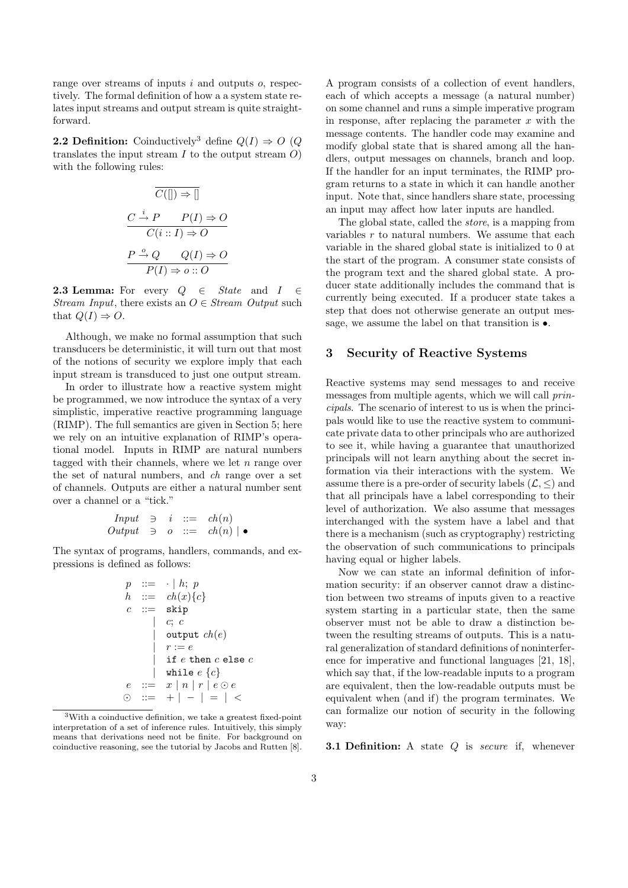range over streams of inputs  $i$  and outputs  $o$ , respectively. The formal definition of how a a system state relates input streams and output stream is quite straightforward.

**2.2 Definition:** Coinductively<sup>3</sup> define  $Q(I) \Rightarrow O(Q)$ translates the input stream  $I$  to the output stream  $O$ ) with the following rules:

$$
\overline{C(\parallel)} \Rightarrow \overline{\parallel}
$$
\n
$$
\underline{C \stackrel{i}{\rightarrow} P \qquad P(I) \Rightarrow O}
$$
\n
$$
\overline{C(i::I) \Rightarrow O}
$$
\n
$$
\underline{P \stackrel{o}{\rightarrow} Q \qquad Q(I) \Rightarrow O}
$$
\n
$$
\overline{P(I) \Rightarrow o::O}
$$

**2.3 Lemma:** For every  $Q \in State$  and  $I \in$ *Stream Input*, there exists an  $O \in Stream$  *Output* such that  $Q(I) \Rightarrow O$ .

Although, we make no formal assumption that such transducers be deterministic, it will turn out that most of the notions of security we explore imply that each input stream is transduced to just one output stream.

In order to illustrate how a reactive system might be programmed, we now introduce the syntax of a very simplistic, imperative reactive programming language (RIMP). The full semantics are given in Section 5; here we rely on an intuitive explanation of RIMP's operational model. Inputs in RIMP are natural numbers tagged with their channels, where we let  $n$  range over the set of natural numbers, and ch range over a set of channels. Outputs are either a natural number sent over a channel or a "tick."

$$
\begin{array}{rcl}\nImput & \ni & i & ::= & ch(n) \\
Output & \ni & o & ::= & ch(n) \mid \bullet\n\end{array}
$$

The syntax of programs, handlers, commands, and expressions is defined as follows:

$$
p ::= \cdot | h; p
$$
\n
$$
h ::= ch(x) \{c\}
$$
\n
$$
c ::= \text{skip}
$$
\n
$$
c; c
$$
\n
$$
| c; c
$$
\n
$$
r := e
$$
\n
$$
if e then c else c
$$
\n
$$
e ::= x | n | r | e \odot e
$$
\n
$$
\odot ::= + | - | = | <
$$

A program consists of a collection of event handlers, each of which accepts a message (a natural number) on some channel and runs a simple imperative program in response, after replacing the parameter  $x$  with the message contents. The handler code may examine and modify global state that is shared among all the handlers, output messages on channels, branch and loop. If the handler for an input terminates, the RIMP program returns to a state in which it can handle another input. Note that, since handlers share state, processing an input may affect how later inputs are handled.

The global state, called the store, is a mapping from variables  $r$  to natural numbers. We assume that each variable in the shared global state is initialized to 0 at the start of the program. A consumer state consists of the program text and the shared global state. A producer state additionally includes the command that is currently being executed. If a producer state takes a step that does not otherwise generate an output message, we assume the label on that transition is  $\bullet$ .

#### 3 Security of Reactive Systems

Reactive systems may send messages to and receive messages from multiple agents, which we will call principals. The scenario of interest to us is when the principals would like to use the reactive system to communicate private data to other principals who are authorized to see it, while having a guarantee that unauthorized principals will not learn anything about the secret information via their interactions with the system. We assume there is a pre-order of security labels  $(\mathcal{L}, \leq)$  and that all principals have a label corresponding to their level of authorization. We also assume that messages interchanged with the system have a label and that there is a mechanism (such as cryptography) restricting the observation of such communications to principals having equal or higher labels.

Now we can state an informal definition of information security: if an observer cannot draw a distinction between two streams of inputs given to a reactive system starting in a particular state, then the same observer must not be able to draw a distinction between the resulting streams of outputs. This is a natural generalization of standard definitions of noninterference for imperative and functional languages [21, 18], which say that, if the low-readable inputs to a program are equivalent, then the low-readable outputs must be equivalent when (and if) the program terminates. We can formalize our notion of security in the following way:

**3.1 Definition:** A state  $Q$  is *secure* if, whenever

 ${}^{3}\mathrm{With}$  a coinductive definition, we take a greatest fixed-point interpretation of a set of inference rules. Intuitively, this simply means that derivations need not be finite. For background on coinductive reasoning, see the tutorial by Jacobs and Rutten [8].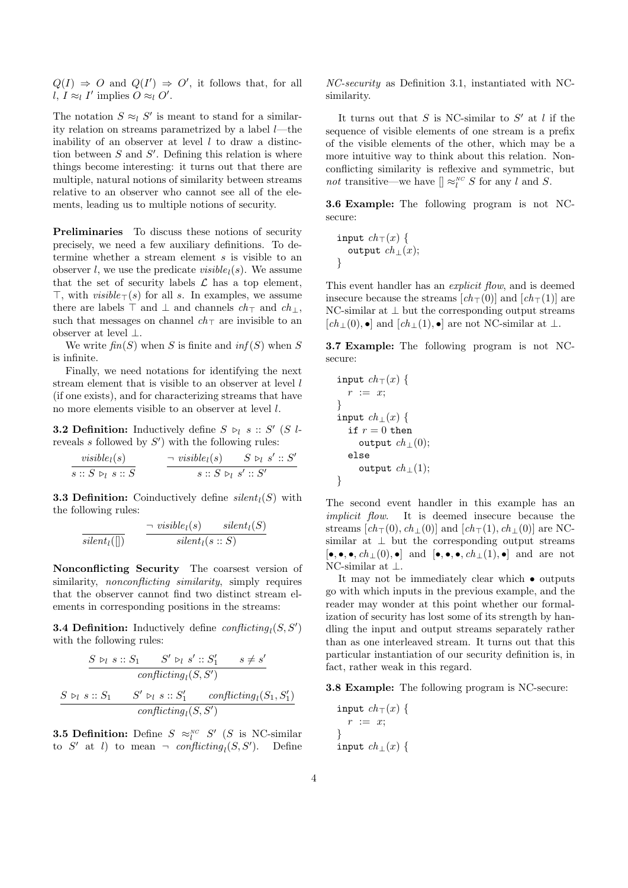$Q(I) \Rightarrow O$  and  $Q(I') \Rightarrow O'$ , it follows that, for all l,  $I \approx_l I'$  implies  $O \approx_l O'$ .

The notation  $S \approx_l S'$  is meant to stand for a similarity relation on streams parametrized by a label  $l$ —the inability of an observer at level  $l$  to draw a distinction between  $S$  and  $S'$ . Defining this relation is where things become interesting: it turns out that there are multiple, natural notions of similarity between streams relative to an observer who cannot see all of the elements, leading us to multiple notions of security.

Preliminaries To discuss these notions of security precisely, we need a few auxiliary definitions. To determine whether a stream element s is visible to an observer l, we use the predicate visible<sub>l</sub>(s). We assume that the set of security labels  $\mathcal L$  has a top element,  $\top$ , with visible  $\top(s)$  for all s. In examples, we assume there are labels  $\top$  and  $\bot$  and channels  $ch_{\top}$  and  $ch_{\bot}$ , such that messages on channel  $ch<sub>T</sub>$  are invisible to an observer at level ⊥.

We write  $\operatorname{fn}(S)$  when S is finite and  $\operatorname{inf}(S)$  when S is infinite.

Finally, we need notations for identifying the next stream element that is visible to an observer at level l (if one exists), and for characterizing streams that have no more elements visible to an observer at level  $l$ .

**3.2 Definition:** Inductively define  $S \rhd_l s :: S'$  (S lreveals  $s$  followed by  $S'$ ) with the following rules:

$$
\frac{visible_l(s)}{s::S \rhd_l s::S} \qquad \frac{\neg \text{ visible}_l(s) \qquad S \rhd_l s':S'}{s::S \rhd_l s':S'}
$$

**3.3 Definition:** Coinductively define  $silent_l(S)$  with the following rules:

$$
\frac{\neg \text{ visible}_l(s) \qquad \text{silent}_l(S)}{\text{silent}_l(s::S)}
$$

Nonconflicting Security The coarsest version of similarity, *nonconflicting similarity*, simply requires that the observer cannot find two distinct stream elements in corresponding positions in the streams:

**3.4 Definition:** Inductively define  $conficting_l(S, S')$ with the following rules:

$$
\begin{array}{ccc}\nS \rhd_l s :: S_1 & S' \rhd_l s' :: S'_1 & s \neq s' \\
\hline\nconficting_l(S, S') & \\
S \rhd_l s :: S_1 & S' \rhd_l s :: S'_1 & \text{conficting}_l(S_1, S'_1) \\
\hline\nconficting_l(S, S') & \\
\end{array}
$$

**3.5 Definition:** Define  $S \approx_l^{NC} S'$  (S is NC-similar to S' at l) to mean  $\lnot$  conflicting<sub>l</sub>(S, S'). Define

NC-security as Definition 3.1, instantiated with NCsimilarity.

It turns out that  $S$  is NC-similar to  $S'$  at  $l$  if the sequence of visible elements of one stream is a prefix of the visible elements of the other, which may be a more intuitive way to think about this relation. Nonconflicting similarity is reflexive and symmetric, but not transitive—we have  $[\] \approx_l^{NC} S$  for any l and S.

3.6 Example: The following program is not NCsecure:

$$
\begin{array}{c}\text{input } ch_{\top}(x) \; \{ \\ \text{output } ch_{\bot}(x); \end{array}
$$

This event handler has an *explicit flow*, and is deemed insecure because the streams  $[ch_{\top}(0)]$  and  $[ch_{\top}(1)]$  are NC-similar at ⊥ but the corresponding output streams  $[ch_{\perp}(0), \bullet]$  and  $[ch_{\perp}(1), \bullet]$  are not NC-similar at  $\perp$ .

3.7 Example: The following program is not NCsecure:

```
\ninput 
$$
ch_{\top}(x) \{\n r := x;\n }\n \n input  $ch_{\bot}(x) \{\n \text{if } r = 0 \text{ then }\n \text{output } ch_{\bot}(0);\n \text{else }\n \text{output } ch_{\bot}(1);\n \n}\n$
$$

```

The second event handler in this example has an implicit flow. It is deemed insecure because the streams  $[ch_{\top}(0), ch_{\perp}(0)]$  and  $[ch_{\top}(1), ch_{\perp}(0)]$  are NCsimilar at  $\perp$  but the corresponding output streams  $[\bullet,\bullet,\bullet,\,ch_{\perp}(0),\bullet]$  and  $[\bullet,\bullet,\bullet,\,ch_{\perp}(1),\bullet]$  and are not NC-similar at ⊥.

It may not be immediately clear which • outputs go with which inputs in the previous example, and the reader may wonder at this point whether our formalization of security has lost some of its strength by handling the input and output streams separately rather than as one interleaved stream. It turns out that this particular instantiation of our security definition is, in fact, rather weak in this regard.

3.8 Example: The following program is NC-secure:

```
\ninput 
$$
ch_{\top}(x) \{ \quad r := x; \quad \} \quad \text{input } ch_{\bot}(x) \{ \quad
$$
\n
```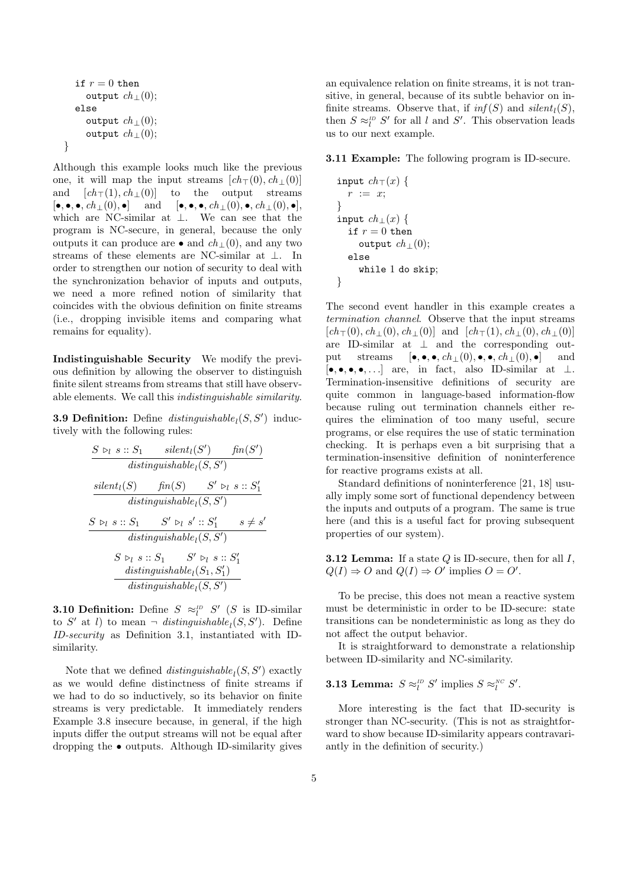```
if r = 0 then
      output ch<sub>⊥</sub>(0);else
      output ch<sub>⊥</sub>(0);output ch<sub>⊥</sub>(0);}
```
Although this example looks much like the previous one, it will map the input streams  $[ch_{\top}(0), ch_{\bot}(0)]$ and  $[ch_{\top}(1), ch_{\perp}(0)]$  to the output streams  $[\bullet,\bullet,\bullet, ch_{\perp}(0),\bullet]$  and  $[\bullet,\bullet,\bullet, ch_{\perp}(0),\bullet, ch_{\perp}(0),\bullet]$ , which are NC-similar at ⊥. We can see that the program is NC-secure, in general, because the only outputs it can produce are  $\bullet$  and  $ch_{\perp}(0)$ , and any two streams of these elements are NC-similar at ⊥. In order to strengthen our notion of security to deal with the synchronization behavior of inputs and outputs, we need a more refined notion of similarity that coincides with the obvious definition on finite streams (i.e., dropping invisible items and comparing what remains for equality).

Indistinguishable Security We modify the previous definition by allowing the observer to distinguish finite silent streams from streams that still have observable elements. We call this indistinguishable similarity.

**3.9 Definition:** Define  $distinguishable$ <sub>l</sub> $(S, S')$  inductively with the following rules:

$$
\begin{array}{cc} S \triangleright_l s :: S_1 & silent_l(S') & fin(S') \\ \hline \end{array} \\ \begin{array}{c} \textit{distinguishable}_l(S, S') \\ \textit{silent}_l(S) & fin(S) & S' \triangleright_l s :: S'_1 \\ \hline \end{array} \\ \begin{array}{c} S \triangleright_l s :: S_1 & S' \triangleright_l s' :: S'_1 & s \neq s' \\ \hline \end{array} \\ \begin{array}{c} S \triangleright_l s :: S_1 & S' \triangleright_l s :: S'_1 \\ \hline \end{array} \\ \begin{array}{c} S \triangleright_l s :: S_1 & S' \triangleright_l s :: S'_1 \\ \hline \end{array} \\ \begin{array}{c} \textit{distinguishable}_l(S_1, S'_1) \\ \hline \end{array} \\ \begin{array}{c} \textit{distinguishable}_l(S, S') \\ \hline \end{array}
$$

**3.10 Definition:** Define  $S \approx_l^{\text{ID}} S'$  (S is ID-similar to S' at l) to mean  $\neg$  distinguishable<sub>l</sub>(S, S'). Define ID-security as Definition 3.1, instantiated with IDsimilarity.

Note that we defined  $distinguishable_l(S, S')$  exactly as we would define distinctness of finite streams if we had to do so inductively, so its behavior on finite streams is very predictable. It immediately renders Example 3.8 insecure because, in general, if the high inputs differ the output streams will not be equal after dropping the • outputs. Although ID-similarity gives an equivalence relation on finite streams, it is not transitive, in general, because of its subtle behavior on infinite streams. Observe that, if  $inf(S)$  and  $silent_l(S)$ , then  $S \approx_l^{\text{ID}} S'$  for all l and S'. This observation leads us to our next example.

3.11 Example: The following program is ID-secure.

```
\ninput 
$$
ch_{\top}(x) \{\n    r := x;\n}\n
$$
\n\ninput  $ch_{\bot}(x) \{\n    if r = 0 then\n        output  $ch_{\bot}(0);\n    else\n    while 1 do skip;\n}\n$ \n$ 
```

The second event handler in this example creates a termination channel. Observe that the input streams  $[ch_{\top}(0), ch_{\perp}(0), ch_{\perp}(0)]$  and  $[ch_{\top}(1), ch_{\perp}(0), ch_{\perp}(0)]$ are ID-similar at ⊥ and the corresponding output streams  $[\bullet,\bullet,\bullet, ch_{\perp}(0),\bullet,\bullet, ch_{\perp}(0),\bullet]$  and  $[\bullet, \bullet, \bullet, \bullet, \ldots]$  are, in fact, also ID-similar at  $\perp$ . Termination-insensitive definitions of security are quite common in language-based information-flow because ruling out termination channels either requires the elimination of too many useful, secure programs, or else requires the use of static termination checking. It is perhaps even a bit surprising that a termination-insensitive definition of noninterference for reactive programs exists at all.

Standard definitions of noninterference [21, 18] usually imply some sort of functional dependency between the inputs and outputs of a program. The same is true here (and this is a useful fact for proving subsequent properties of our system).

**3.12 Lemma:** If a state  $Q$  is ID-secure, then for all  $I$ ,  $Q(I) \Rightarrow O$  and  $Q(I) \Rightarrow O'$  implies  $O = O'$ .

To be precise, this does not mean a reactive system must be deterministic in order to be ID-secure: state transitions can be nondeterministic as long as they do not affect the output behavior.

It is straightforward to demonstrate a relationship between ID-similarity and NC-similarity.

# **3.13 Lemma:**  $S \approx_l^{ID} S'$  implies  $S \approx_l^{NC} S'$ .

More interesting is the fact that ID-security is stronger than NC-security. (This is not as straightforward to show because ID-similarity appears contravariantly in the definition of security.)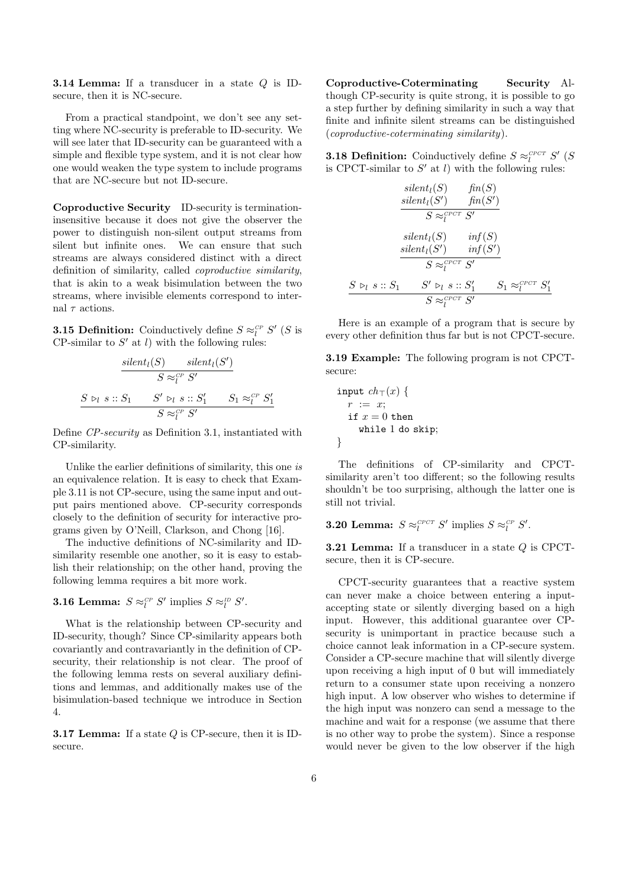3.14 Lemma: If a transducer in a state Q is IDsecure, then it is NC-secure.

From a practical standpoint, we don't see any setting where NC-security is preferable to ID-security. We will see later that ID-security can be guaranteed with a simple and flexible type system, and it is not clear how one would weaken the type system to include programs that are NC-secure but not ID-secure.

Coproductive Security ID-security is terminationinsensitive because it does not give the observer the power to distinguish non-silent output streams from silent but infinite ones. We can ensure that such streams are always considered distinct with a direct definition of similarity, called coproductive similarity, that is akin to a weak bisimulation between the two streams, where invisible elements correspond to internal  $\tau$  actions.

**3.15 Definition:** Coinductively define  $S \approx_l^{CP} S'$  (S is CP-similar to  $S'$  at l) with the following rules:

$$
\frac{\text{slent}_{l}(S) \qquad \text{slent}_{l}(S')}{S \approx_{l}^{CP} S'}
$$
\n
$$
\frac{S \bowtie_{l} s :: S_{1} \qquad S' \bowtie_{l} s :: S'_{1} \qquad S_{1} \approx_{l}^{CP} S'_{1}}{S \approx_{l}^{CP} S'}
$$

Define CP-security as Definition 3.1, instantiated with CP-similarity.

Unlike the earlier definitions of similarity, this one is an equivalence relation. It is easy to check that Example 3.11 is not CP-secure, using the same input and output pairs mentioned above. CP-security corresponds closely to the definition of security for interactive programs given by O'Neill, Clarkson, and Chong [16].

The inductive definitions of NC-similarity and IDsimilarity resemble one another, so it is easy to establish their relationship; on the other hand, proving the following lemma requires a bit more work.

**3.16 Lemma:**  $S \approx_l^{CP} S'$  implies  $S \approx_l^{ID} S'$ .

What is the relationship between CP-security and ID-security, though? Since CP-similarity appears both covariantly and contravariantly in the definition of CPsecurity, their relationship is not clear. The proof of the following lemma rests on several auxiliary definitions and lemmas, and additionally makes use of the bisimulation-based technique we introduce in Section 4.

**3.17 Lemma:** If a state  $Q$  is CP-secure, then it is IDsecure.

Coproductive-Coterminating Security Although CP-security is quite strong, it is possible to go a step further by defining similarity in such a way that finite and infinite silent streams can be distinguished (coproductive-coterminating similarity).

**3.18 Definition:** Coinductively define  $S \approx_l^{CPT} S'$  (S is CPCT-similar to  $S'$  at l) with the following rules:

$$
\begin{array}{ll}\n\textit{silent}_l(S) & \textit{fin}(S) \\
\frac{\textit{silent}_l(S')}{S \approx_l^{c_{PCT}} S'} \\
\textit{silent}_l(S) & \textit{inf}(S) \\
\frac{\textit{silent}_l(S')}{S \approx_l^{c_{PCT}} S'} \\
\frac{S \bowtie_l s :: S_1 \quad S' \bowtie_l s :: S'_1 \quad S_1 \approx_l^{c_{PCT}} S'_1}{S \approx_l^{c_{PCT}} S'} \\
\end{array}
$$

Here is an example of a program that is secure by every other definition thus far but is not CPCT-secure.

3.19 Example: The following program is not CPCTsecure:

```
\ninput 
$$
ch_{\top}(x) \{ \quad r := x; \quad \text{if } x = 0 \text{ then } \quad \text{while } 1 \text{ do skip;} \quad \text{}\n
$$
\n
```

The definitions of CP-similarity and CPCTsimilarity aren't too different; so the following results shouldn't be too surprising, although the latter one is still not trivial.

**3.20 Lemma:**  $S \approx_l^{CPT} S'$  implies  $S \approx_l^{CPT} S'$ .

3.21 Lemma: If a transducer in a state Q is CPCTsecure, then it is CP-secure.

CPCT-security guarantees that a reactive system can never make a choice between entering a inputaccepting state or silently diverging based on a high input. However, this additional guarantee over CPsecurity is unimportant in practice because such a choice cannot leak information in a CP-secure system. Consider a CP-secure machine that will silently diverge upon receiving a high input of 0 but will immediately return to a consumer state upon receiving a nonzero high input. A low observer who wishes to determine if the high input was nonzero can send a message to the machine and wait for a response (we assume that there is no other way to probe the system). Since a response would never be given to the low observer if the high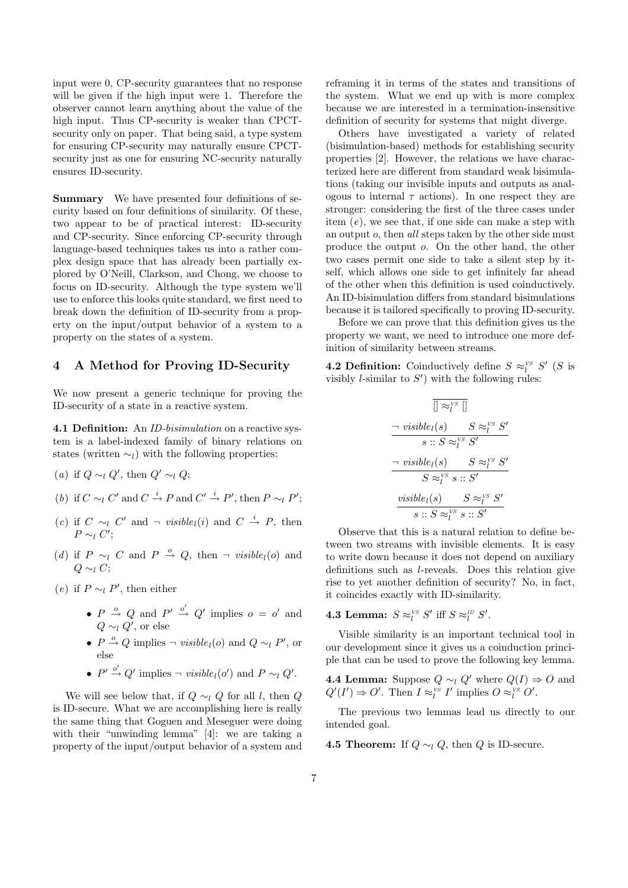input were 0, CP-security guarantees that no response will be given if the high input were 1. Therefore the observer cannot learn anything about the value of the high input. Thus CP-security is weaker than CPCTsecurity only on paper. That being said, a type system for ensuring CP-security may naturally ensure CPCTsecurity just as one for ensuring NC-security naturally ensures ID-security.

Summary We have presented four definitions of security based on four definitions of similarity. Of these, two appear to be of practical interest: ID-security and CP-security. Since enforcing CP-security through language-based techniques takes us into a rather complex design space that has already been partially explored by O'Neill, Clarkson, and Chong, we choose to focus on ID-security. Although the type system we'll use to enforce this looks quite standard, we first need to break down the definition of ID-security from a property on the input/output behavior of a system to a property on the states of a system.

#### 4 A Method for Proving ID-Security

We now present a generic technique for proving the ID-security of a state in a reactive system.

4.1 Definition: An *ID-bisimulation* on a reactive system is a label-indexed family of binary relations on states (written  $\sim_l$ ) with the following properties:

- (a) if  $Q \sim_l Q'$ , then  $Q' \sim_l Q$ ;
- (b) if  $C \sim_l C'$  and  $C \stackrel{i}{\rightarrow} P$  and  $C' \stackrel{i}{\rightarrow} P'$ , then  $P \sim_l P'$ ;
- (c) if  $C \sim_l C'$  and  $\neg$  visible<sub>l</sub>(i) and  $C \stackrel{i}{\rightarrow} P$ , then  $P \sim_l C';$
- (d) if  $P \sim_l C$  and  $P \stackrel{o}{\rightarrow} Q$ , then  $\neg$  visible<sub>l</sub>(o) and  $Q \sim_l C;$
- (*e*) if  $P \sim_l P'$ , then either
	- $P \stackrel{o}{\rightarrow} Q$  and  $P' \stackrel{o'}{\rightarrow} Q'$  implies  $o = o'$  and  $Q \sim_l Q'$ , or else
	- $P \stackrel{o}{\rightarrow} Q$  implies  $\neg \text{ visible}_l(o)$  and  $Q \sim_l P'$ , or else
	- $P' \stackrel{o'}{\rightarrow} Q'$  implies  $\neg \text{ visible}_l(o')$  and  $P \sim_l Q'.$

We will see below that, if  $Q \sim_l Q$  for all l, then  $Q$ is ID-secure. What we are accomplishing here is really the same thing that Goguen and Meseguer were doing with their "unwinding lemma" [4]: we are taking a property of the input/output behavior of a system and

reframing it in terms of the states and transitions of the system. What we end up with is more complex because we are interested in a termination-insensitive definition of security for systems that might diverge.

Others have investigated a variety of related (bisimulation-based) methods for establishing security properties [2]. However, the relations we have characterized here are different from standard weak bisimulations (taking our invisible inputs and outputs as analogous to internal  $\tau$  actions). In one respect they are stronger: considering the first of the three cases under item  $(e)$ , we see that, if one side can make a step with an output  $o$ , then all steps taken by the other side must produce the output o. On the other hand, the other two cases permit one side to take a silent step by itself, which allows one side to get infinitely far ahead of the other when this definition is used coinductively. An ID-bisimulation differs from standard bisimulations because it is tailored specifically to proving ID-security.

Before we can prove that this definition gives us the property we want, we need to introduce one more definition of similarity between streams.

**4.2 Definition:** Coinductively define  $S \approx_l^{vs} S'$  (S is visibly  $l$ -similar to  $S'$ ) with the following rules:

$$
\frac{\boxed{\lvert \approx_l^{vs} \rvert}}{s::S \approx_l^{vs} S'}
$$
\n
$$
\frac{\neg \text{ visible}_l(s) \qquad S \approx_l^{vs} S'}{s::S \approx_l^{vs} S'}
$$
\n
$$
\frac{\neg \text{ visible}_l(s) \qquad S \approx_l^{vs} S'}{S \approx_l^{vs} s::S'}
$$
\n
$$
\frac{\text{visible}_l(s) \qquad S \approx_l^{vs} S'}{s::S \approx_l^{vs} s::S'}
$$

Observe that this is a natural relation to define between two streams with invisible elements. It is easy to write down because it does not depend on auxiliary definitions such as l-reveals. Does this relation give rise to yet another definition of security? No, in fact, it coincides exactly with ID-similarity.

**4.3 Lemma:**  $S \approx_l^{vs} S'$  iff  $S \approx_l^{ID} S'$ .

Visible similarity is an important technical tool in our development since it gives us a coinduction principle that can be used to prove the following key lemma.

**4.4 Lemma:** Suppose  $Q \sim_l Q'$  where  $Q(I) \Rightarrow O$  and  $Q'(I') \Rightarrow O'$ . Then  $I \approx_l^{vs} I'$  implies  $O \approx_l^{vs} O'$ .

The previous two lemmas lead us directly to our intended goal.

4.5 Theorem: If  $Q \sim_l Q$ , then Q is ID-secure.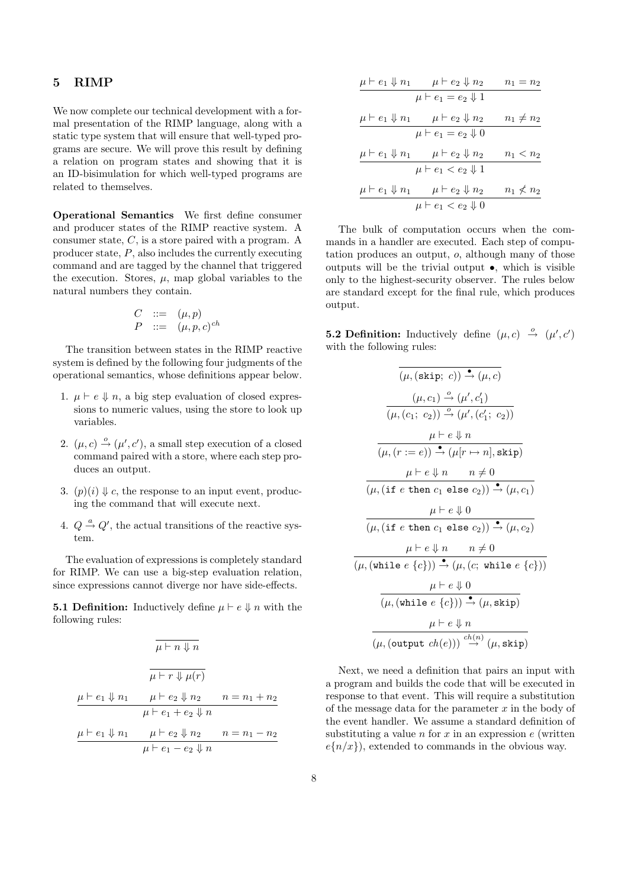### 5 RIMP

We now complete our technical development with a formal presentation of the RIMP language, along with a static type system that will ensure that well-typed programs are secure. We will prove this result by defining a relation on program states and showing that it is an ID-bisimulation for which well-typed programs are related to themselves.

Operational Semantics We first define consumer and producer states of the RIMP reactive system. A consumer state, C, is a store paired with a program. A producer state, P, also includes the currently executing command and are tagged by the channel that triggered the execution. Stores,  $\mu$ , map global variables to the natural numbers they contain.

$$
\begin{array}{ccl} C & ::= & (\mu, p) \\ P & ::= & (\mu, p, c)^{ch} \end{array}
$$

The transition between states in the RIMP reactive system is defined by the following four judgments of the operational semantics, whose definitions appear below.

- 1.  $\mu \vdash e \Downarrow n$ , a big step evaluation of closed expressions to numeric values, using the store to look up variables.
- 2.  $(\mu, c) \stackrel{o}{\rightarrow} (\mu', c')$ , a small step execution of a closed command paired with a store, where each step produces an output.
- 3.  $(p)(i) \Downarrow c$ , the response to an input event, producing the command that will execute next.
- 4.  $Q \stackrel{a}{\rightarrow} Q'$ , the actual transitions of the reactive system.

The evaluation of expressions is completely standard for RIMP. We can use a big-step evaluation relation, since expressions cannot diverge nor have side-effects.

**5.1 Definition:** Inductively define  $\mu \vdash e \Downarrow n$  with the following rules:

$$
\mu \vdash n \Downarrow n
$$
\n
$$
\mu \vdash r \Downarrow \mu(r)
$$
\n
$$
\mu \vdash e_1 \Downarrow n_1 \qquad \mu \vdash e_2 \Downarrow n_2 \qquad n = n_1 + n_2
$$
\n
$$
\mu \vdash e_1 + e_2 \Downarrow n
$$
\n
$$
\mu \vdash e_1 \Downarrow n_1 \qquad \mu \vdash e_2 \Downarrow n_2 \qquad n = n_1 - n_2
$$
\n
$$
\mu \vdash e_1 - e_2 \Downarrow n
$$

| $\mu \vdash e_1 \Downarrow n_1$ | $\mu \vdash e_2 \Downarrow n_2$     | $n_1 = n_2$      |
|---------------------------------|-------------------------------------|------------------|
|                                 | $\mu \vdash e_1 = e_2 \Downarrow 1$ |                  |
| $\mu \vdash e_1 \Downarrow n_1$ | $\mu \vdash e_2 \Downarrow n_2$     | $n_1 \neq n_2$   |
|                                 | $\mu \vdash e_1 = e_2 \Downarrow 0$ |                  |
| $\mu \vdash e_1 \Downarrow n_1$ | $\mu \vdash e_2 \Downarrow n_2$     | $n_1 < n_2$      |
|                                 | $\mu \vdash e_1 < e_2 \Downarrow 1$ |                  |
| $\mu \vdash e_1 \Downarrow n_1$ | $\mu \vdash e_2 \Downarrow n_2$     | $n_1 \nless n_2$ |
|                                 | $\mu \vdash e_1 < e_2 \Downarrow 0$ |                  |

The bulk of computation occurs when the commands in a handler are executed. Each step of computation produces an output, o, although many of those outputs will be the trivial output  $\bullet$ , which is visible only to the highest-security observer. The rules below are standard except for the final rule, which produces output.

**5.2 Definition:** Inductively define  $(\mu, c) \stackrel{o}{\rightarrow} (\mu', c')$ with the following rules:

$$
\frac{(\mu, (skip; c)) \rightarrow (\mu, c)}{(\mu, (c_1; c_2)) \rightarrow (\mu', c')}
$$
\n
$$
\frac{(\mu, c_1) \stackrel{o}{\rightarrow} (\mu', c'_1)}{(\mu, (c_1; c_2)) \stackrel{o}{\rightarrow} (\mu', (c'_1; c_2))}
$$
\n
$$
\frac{\mu \vdash e \Downarrow n}{(\mu, (r := e)) \stackrel{\bullet}{\rightarrow} (\mu[r \mapsto n], \text{skip})}
$$
\n
$$
\frac{\mu \vdash e \Downarrow n}{(\mu, (\text{if } e \text{ then } c_1 \text{ else } c_2)) \stackrel{\bullet}{\rightarrow} (\mu, c_1)}
$$
\n
$$
\frac{\mu \vdash e \Downarrow 0}{(\mu, (\text{if } e \text{ then } c_1 \text{ else } c_2)) \stackrel{\bullet}{\rightarrow} (\mu, c_2)}
$$
\n
$$
\frac{\mu \vdash e \Downarrow n}{(\mu, (\text{while } e \{c\})) \stackrel{\bullet}{\rightarrow} (\mu, (c; \text{ while } e \{c\}))}
$$
\n
$$
\frac{\mu \vdash e \Downarrow 0}{(\mu, (\text{while } e \{c\})) \stackrel{\bullet}{\rightarrow} (\mu, \text{skip})}
$$
\n
$$
\frac{\mu \vdash e \Downarrow n}{(\mu, (\text{output } ch(e))) \stackrel{ch(n)}{\rightarrow} (\mu, \text{skip})}
$$

Next, we need a definition that pairs an input with a program and builds the code that will be executed in response to that event. This will require a substitution of the message data for the parameter  $x$  in the body of the event handler. We assume a standard definition of substituting a value  $n$  for  $x$  in an expression  $e$  (written  $e{n/x}$ , extended to commands in the obvious way.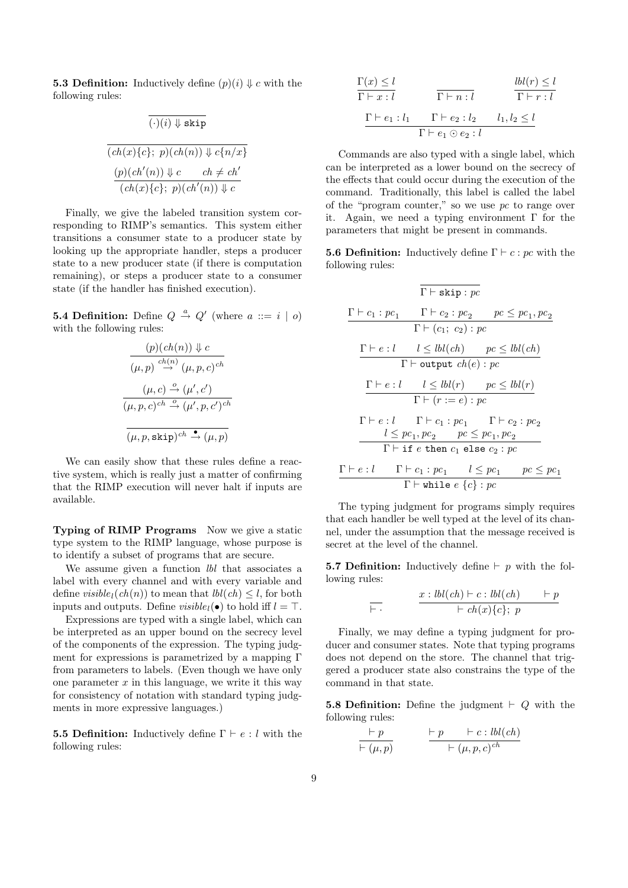**5.3 Definition:** Inductively define  $(p)(i) \Downarrow c$  with the following rules:

$$
(\cdot)(i) \Downarrow \text{skip}
$$
  

$$
\overline{(ch(x)\{c\};\ p)(ch(n)) \Downarrow c\{n/x\}}
$$
  

$$
\frac{(p)(ch'(n)) \Downarrow c \qquad ch \neq ch'}{(ch(x)\{c\};\ p)(ch'(n)) \Downarrow c}
$$

Finally, we give the labeled transition system corresponding to RIMP's semantics. This system either transitions a consumer state to a producer state by looking up the appropriate handler, steps a producer state to a new producer state (if there is computation remaining), or steps a producer state to a consumer state (if the handler has finished execution).

**5.4 Definition:** Define  $Q \stackrel{a}{\rightarrow} Q'$  (where  $a ::= i | o$ ) with the following rules:

$$
\frac{(p)(ch(n)) \Downarrow c}{(\mu, p) \stackrel{ch(n)}{\rightarrow} (\mu, p, c)^{ch}}
$$

$$
\frac{(\mu, c) \stackrel{o}{\rightarrow} (\mu', c')}{(\mu, p, c)^{ch} \stackrel{o}{\rightarrow} (\mu', p, c')^{ch}}
$$

$$
\frac{(\mu, p, \text{skip})^{ch} \stackrel{\bullet}{\rightarrow} (\mu, p)}
$$

We can easily show that these rules define a reactive system, which is really just a matter of confirming that the RIMP execution will never halt if inputs are available.

Typing of RIMP Programs Now we give a static type system to the RIMP language, whose purpose is to identify a subset of programs that are secure.

We assume given a function *lbl* that associates a label with every channel and with every variable and define visible<sub>l</sub>(ch(n)) to mean that  $\text{lbl}(ch) \leq l$ , for both inputs and outputs. Define  $visible_l(\bullet)$  to hold iff  $l = \top$ .

Expressions are typed with a single label, which can be interpreted as an upper bound on the secrecy level of the components of the expression. The typing judgment for expressions is parametrized by a mapping Γ from parameters to labels. (Even though we have only one parameter  $x$  in this language, we write it this way for consistency of notation with standard typing judgments in more expressive languages.)

**5.5 Definition:** Inductively define  $\Gamma \vdash e : l$  with the following rules:

$$
\frac{\Gamma(x) \le l}{\Gamma \vdash x : l} \qquad \frac{lbl(r) \le l}{\Gamma \vdash n : l} \qquad \frac{lbl(r) \le l}{\Gamma \vdash r : l}
$$
\n
$$
\frac{\Gamma \vdash e_1 : l_1 \qquad \Gamma \vdash e_2 : l_2 \qquad l_1, l_2 \le l}{\Gamma \vdash e_1 \odot e_2 : l}
$$

Commands are also typed with a single label, which can be interpreted as a lower bound on the secrecy of the effects that could occur during the execution of the command. Traditionally, this label is called the label of the "program counter," so we use  $pc$  to range over it. Again, we need a typing environment  $\Gamma$  for the parameters that might be present in commands.

**5.6 Definition:** Inductively define  $\Gamma \vdash c : pc$  with the following rules:

$$
\cfrac{\Gamma \vdash \text{skip}: pc}{\Gamma \vdash \text{skip}: pc}
$$
\n
$$
\cfrac{\Gamma \vdash c_1 : pc_1 \qquad \Gamma \vdash c_2 : pc_2 \qquad pc \leq pc_1, pc_2}{\Gamma \vdash (c_1; c_2) : pc}
$$
\n
$$
\cfrac{\Gamma \vdash e: l \qquad l \leq lbl(ch) \qquad pc \leq lbl(ch)}{\Gamma \vdash \text{output } ch(e): pc}
$$
\n
$$
\cfrac{\Gamma \vdash e: l \qquad l \leq lbl(r) \qquad pc \leq lbl(r)}{\Gamma \vdash (r := e): pc}
$$
\n
$$
\cfrac{\Gamma \vdash e: l \qquad \Gamma \vdash c_1 : pc_1 \qquad \Gamma \vdash c_2 : pc_2}{l \leq pc_1, pc_2 \qquad pc \leq pc_1, pc_2}
$$
\n
$$
\cfrac{l \leq pc_1, pc_2 \qquad pc \leq pc_1, pc_2}{\Gamma \vdash \text{if } e \text{ then } c_1 \text{ else } c_2 : pc}
$$
\n
$$
\cfrac{\Gamma \vdash e: l \qquad \Gamma \vdash c_1 : pc_1 \qquad l \leq pc_1 \qquad pc \leq pc_1}{\Gamma \vdash \text{while } e \{c\} : pc}
$$

The typing judgment for programs simply requires that each handler be well typed at the level of its channel, under the assumption that the message received is secret at the level of the channel.

**5.7 Definition:** Inductively define  $\vdash p$  with the following rules:

 $\overline{\vdash}$ 

$$
\frac{x: \text{lb}(ch) \vdash c: \text{lb}(ch) \qquad \vdash p}{\vdash \text{ch}(x) \{c\}; \ p}
$$

Finally, we may define a typing judgment for producer and consumer states. Note that typing programs does not depend on the store. The channel that triggered a producer state also constrains the type of the command in that state.

**5.8 Definition:** Define the judgment  $\vdash Q$  with the following rules:

$$
\frac{\vdash p}{\vdash (\mu, p)} \qquad \frac{\vdash p \qquad \vdash c : \text{lbl}(ch)}{\vdash (\mu, p, c)^{ch}}
$$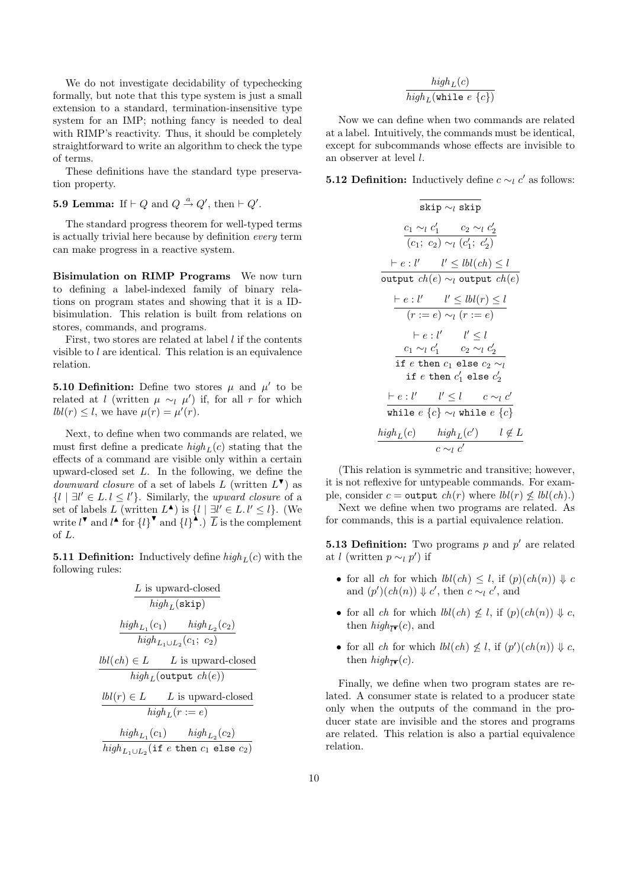We do not investigate decidability of typechecking formally, but note that this type system is just a small extension to a standard, termination-insensitive type system for an IMP; nothing fancy is needed to deal with RIMP's reactivity. Thus, it should be completely straightforward to write an algorithm to check the type of terms.

These definitions have the standard type preservation property.

# **5.9 Lemma:** If  $\vdash Q$  and  $Q \stackrel{a}{\rightarrow} Q'$ , then  $\vdash Q'$ .

The standard progress theorem for well-typed terms is actually trivial here because by definition every term can make progress in a reactive system.

Bisimulation on RIMP Programs We now turn to defining a label-indexed family of binary relations on program states and showing that it is a IDbisimulation. This relation is built from relations on stores, commands, and programs.

First, two stores are related at label  $l$  if the contents visible to  $l$  are identical. This relation is an equivalence relation.

**5.10 Definition:** Define two stores  $\mu$  and  $\mu'$  to be related at l (written  $\mu \sim_l \mu'$ ) if, for all r for which  $\text{lb}(r) \leq l$ , we have  $\mu(r) = \mu'(r)$ .

Next, to define when two commands are related, we must first define a predicate  $high<sub>L</sub>(c)$  stating that the effects of a command are visible only within a certain upward-closed set L. In the following, we define the *downward closure* of a set of labels  $L$  (written  $L^{\blacktriangledown}$ ) as  $\{l \mid \exists l' \in L. l \leq l'\}$ . Similarly, the upward closure of a set of labels  $L$  (written  $L^{\blacktriangle}$ ) is  $\{l \mid \exists l' \in L, l' \leq l\}$ . (We write  $l^{\blacktriangledown}$  and  $l^{\blacktriangle}$  for  $\{l\}^{\blacktriangledown}$  and  $\{l\}^{\blacktriangle}$ .)  $\overline{L}$  is the complement of L.

**5.11 Definition:** Inductively define  $high_L(c)$  with the following rules:

$$
\begin{array}{c} \underline{L} \text{ is upward-closed} \\ \hline \hline \begin{array}{c} high_L(\texttt{skip}) \\ \underline{high_{L_1}(c_1)} \\ \underline{high_{L_1 \cup L_2}(c_1;\ c_2)} \end{array} \\ \underline{lbl(ch) \in L} \end{array} \begin{array}{c} \underline{high_{L_1 \cup L_2}(c_1;\ c_2)} \\ \underline{lbl(ch) \in L} \text{ is upward-closed} \\ \underline{high_L(\texttt{output } ch(e))} \\ \underline{lbl(r) \in L} \text{ is upward-closed} \\ \underline{high_L(r := e)} \\ \underline{high_{L_1}(c_1)} \quad \underline{high_{L_2}(c_2)} \\ \underline{high_{L_1 \cup L_2}(\texttt{if } e \texttt{ then } c_1 \texttt{ else } c_2)} \end{array} \end{array}
$$

$$
\frac{high_L(c)}{high_L(\text{while } e \{c\})}
$$

Now we can define when two commands are related at a label. Intuitively, the commands must be identical, except for subcommands whose effects are invisible to an observer at level l.

**5.12 Definition:** Inductively define  $c \sim_l c'$  as follows:

$$
\frac{1}{\text{skip }\sim_l \text{skip}} \frac{1}{\text{skip }\sim_l \text{skip}} \\ \frac{c_1 \sim_l c_1' \quad c_2 \sim_l c_2'}{(c_1; c_2) \sim_l (c_1'; c_2')} \\ \frac{1}{\text{for }l} \quad \frac{l' \leq bl(ch) \leq l}{l' \leq bl(ch) \leq l} \\ \frac{l' \leq l'}{(r := e) \sim_l (r := e)} \\ \frac{l' \leq l'}{(r := e) \sim_l (r := e)} \\ \frac{l' \leq l}{l' \leq l} \\ \frac{1}{\text{if } e \text{ then } c_1 \text{ else } c_2 \sim_l}{l' \leq l} \\ \frac{l' \leq l}{l' \leq l \leq l} \\ \frac{l' \leq l}{l' \leq l \leq l} \\ \frac{l' \leq l}{l' \leq l \leq l} \\ \frac{l' \leq l}{l' \leq l} \\ \frac{l' \leq l}{l' \leq l} \\ \frac{l' \leq l}{l' \leq l} \\ \frac{l' \leq l}{l' \leq l} \\ \frac{l' \leq l}{l' \leq l} \\ \frac{l' \leq l}{l' \leq l} \\ \frac{l' \leq l}{l' \leq l} \\ \frac{l' \leq l}{l' \leq l} \\ \frac{l' \leq l}{l' \leq l} \\ \frac{l' \leq l}{l' \leq l} \\ \frac{l' \leq l}{l' \leq l} \\ \frac{l' \leq l}{l' \leq l} \\ \frac{l' \leq l}{l' \leq l} \\ \frac{l' \leq l}{l' \leq l} \\ \frac{l' \leq l}{l' \leq l} \\ \frac{l' \leq l}{l' \leq l} \\ \frac{l' \leq l}{l' \leq l} \\ \frac{l' \leq l}{l' \leq l} \\ \frac{l' \leq l}{l' \leq l} \\ \frac{l' \leq l}{l' \leq l} \\ \frac{l' \leq l}{l' \leq l} \\ \frac{l' \leq l}{l' \leq l} \\ \frac{l' \leq l}{l' \leq l} \\ \frac{l' \leq l}{l' \leq l} \\ \frac{l' \leq l}{l' \leq l} \\ \frac{l' \leq l}{l' \leq l} \\ \frac{l' \leq l}{l' \leq l} \\ \frac{l' \leq l}{l'
$$

(This relation is symmetric and transitive; however, it is not reflexive for untypeable commands. For example, consider  $c =$  output  $ch(r)$  where  $lbl(r) \nless bl(ch)$ .)

Next we define when two programs are related. As for commands, this is a partial equivalence relation.

**5.13 Definition:** Two programs  $p$  and  $p'$  are related at l (written  $p \sim_l p'$ ) if

- for all ch for which  $\text{lbl}(ch) \leq l$ , if  $(p)(ch(n)) \Downarrow c$ and  $(p')(ch(n)) \Downarrow c'$ , then  $c \sim_l c'$ , and
- for all ch for which  $\text{lbl}(ch) \nless l$ , if  $(p)(ch(n)) \Downarrow c$ , then  $high_{\overline{I}}(c)$ , and
- for all ch for which  $\text{lbl}(ch) \nleq l$ , if  $(p')(ch(n)) \Downarrow c$ , then  $high_{\overline{J}}(c)$ .

Finally, we define when two program states are related. A consumer state is related to a producer state only when the outputs of the command in the producer state are invisible and the stores and programs are related. This relation is also a partial equivalence relation.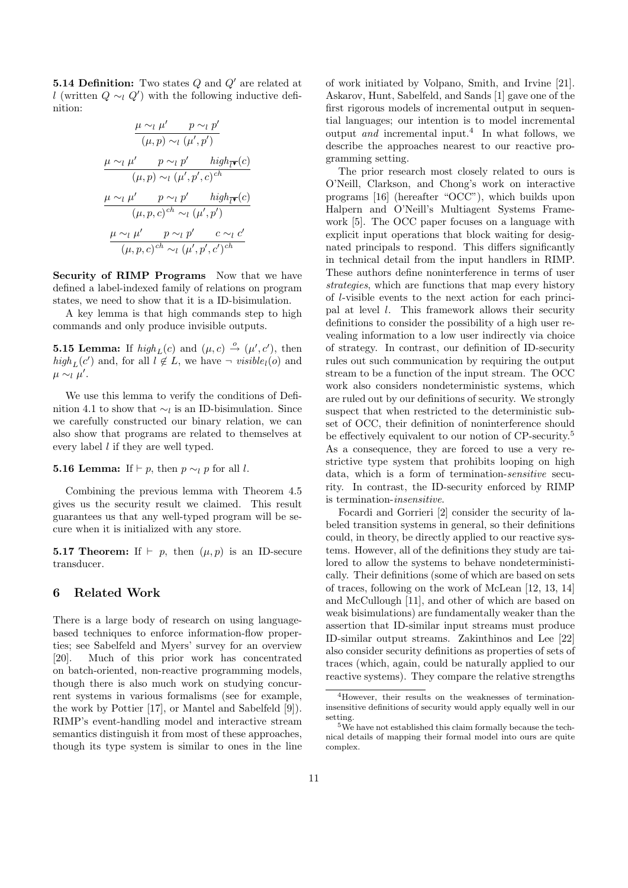**5.14 Definition:** Two states  $Q$  and  $Q'$  are related at l (written  $Q \sim_l Q'$ ) with the following inductive definition:

$$
\frac{\mu \sim_l \mu' \qquad p \sim_l p'}{(\mu, p) \sim_l (\mu', p')}
$$
\n
$$
\frac{\mu \sim_l \mu' \qquad p \sim_l p' \qquad high_{\overline{l}\overline{r}}(c)}{(\mu, p) \sim_l (\mu', p', c)^{ch}}
$$
\n
$$
\frac{\mu \sim_l \mu' \qquad p \sim_l p' \qquad high_{\overline{l}\overline{r}}(c)}{(\mu, p, c)^{ch} \sim_l (\mu', p')}
$$
\n
$$
\frac{\mu \sim_l \mu' \qquad p \sim_l p' \qquad c \sim_l c'}{(\mu, p, c)^{ch} \sim_l (\mu', p', c')^{ch}}
$$

Security of RIMP Programs Now that we have defined a label-indexed family of relations on program states, we need to show that it is a ID-bisimulation.

A key lemma is that high commands step to high commands and only produce invisible outputs.

**5.15 Lemma:** If  $high_L(c)$  and  $(\mu, c) \stackrel{o}{\rightarrow} (\mu', c')$ , then  $high_L(c')$  and, for all  $l \notin L$ , we have  $\neg \text{ } visible_l(o)$  and  $\mu \sim_l \mu'$ .

We use this lemma to verify the conditions of Definition 4.1 to show that  $\sim_l$  is an ID-bisimulation. Since we carefully constructed our binary relation, we can also show that programs are related to themselves at every label  $l$  if they are well typed.

**5.16 Lemma:** If  $\vdash p$ , then  $p \sim_l p$  for all *l*.

Combining the previous lemma with Theorem 4.5 gives us the security result we claimed. This result guarantees us that any well-typed program will be secure when it is initialized with any store.

**5.17 Theorem:** If  $\vdash p$ , then  $(\mu, p)$  is an ID-secure transducer.

### 6 Related Work

There is a large body of research on using languagebased techniques to enforce information-flow properties; see Sabelfeld and Myers' survey for an overview [20]. Much of this prior work has concentrated on batch-oriented, non-reactive programming models, though there is also much work on studying concurrent systems in various formalisms (see for example, the work by Pottier [17], or Mantel and Sabelfeld [9]). RIMP's event-handling model and interactive stream semantics distinguish it from most of these approaches, though its type system is similar to ones in the line of work initiated by Volpano, Smith, and Irvine [21]. Askarov, Hunt, Sabelfeld, and Sands [1] gave one of the first rigorous models of incremental output in sequential languages; our intention is to model incremental output and incremental input.<sup>4</sup> In what follows, we describe the approaches nearest to our reactive programming setting.

The prior research most closely related to ours is O'Neill, Clarkson, and Chong's work on interactive programs [16] (hereafter "OCC"), which builds upon Halpern and O'Neill's Multiagent Systems Framework [5]. The OCC paper focuses on a language with explicit input operations that block waiting for designated principals to respond. This differs significantly in technical detail from the input handlers in RIMP. These authors define noninterference in terms of user strategies, which are functions that map every history of l-visible events to the next action for each principal at level l. This framework allows their security definitions to consider the possibility of a high user revealing information to a low user indirectly via choice of strategy. In contrast, our definition of ID-security rules out such communication by requiring the output stream to be a function of the input stream. The OCC work also considers nondeterministic systems, which are ruled out by our definitions of security. We strongly suspect that when restricted to the deterministic subset of OCC, their definition of noninterference should be effectively equivalent to our notion of CP-security.<sup>5</sup> As a consequence, they are forced to use a very restrictive type system that prohibits looping on high data, which is a form of termination-sensitive security. In contrast, the ID-security enforced by RIMP is termination-insensitive.

Focardi and Gorrieri [2] consider the security of labeled transition systems in general, so their definitions could, in theory, be directly applied to our reactive systems. However, all of the definitions they study are tailored to allow the systems to behave nondeterministically. Their definitions (some of which are based on sets of traces, following on the work of McLean [12, 13, 14] and McCullough [11], and other of which are based on weak bisimulations) are fundamentally weaker than the assertion that ID-similar input streams must produce ID-similar output streams. Zakinthinos and Lee [22] also consider security definitions as properties of sets of traces (which, again, could be naturally applied to our reactive systems). They compare the relative strengths

<sup>4</sup>However, their results on the weaknesses of terminationinsensitive definitions of security would apply equally well in our setting.

<sup>5</sup>We have not established this claim formally because the technical details of mapping their formal model into ours are quite complex.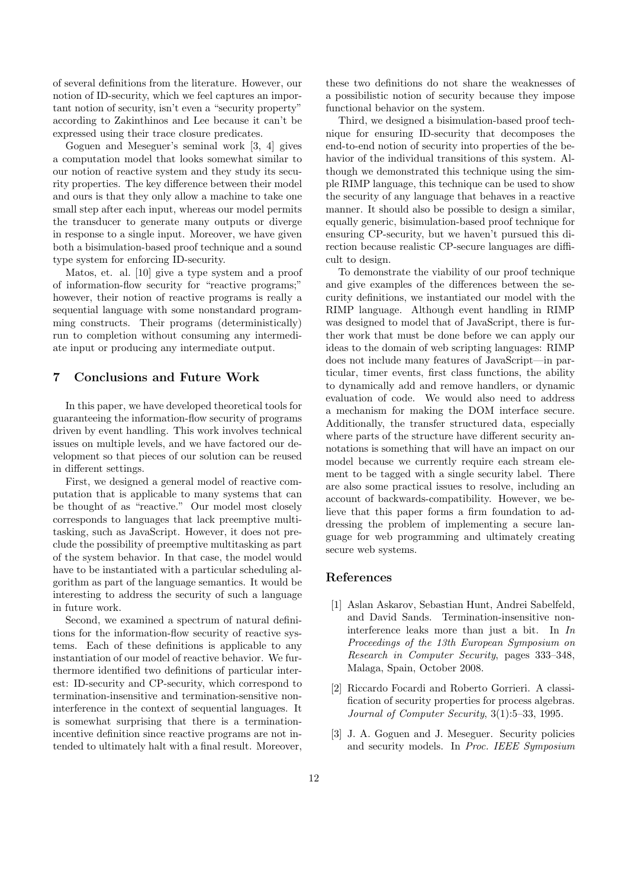of several definitions from the literature. However, our notion of ID-security, which we feel captures an important notion of security, isn't even a "security property" according to Zakinthinos and Lee because it can't be expressed using their trace closure predicates.

Goguen and Meseguer's seminal work [3, 4] gives a computation model that looks somewhat similar to our notion of reactive system and they study its security properties. The key difference between their model and ours is that they only allow a machine to take one small step after each input, whereas our model permits the transducer to generate many outputs or diverge in response to a single input. Moreover, we have given both a bisimulation-based proof technique and a sound type system for enforcing ID-security.

Matos, et. al. [10] give a type system and a proof of information-flow security for "reactive programs;" however, their notion of reactive programs is really a sequential language with some nonstandard programming constructs. Their programs (deterministically) run to completion without consuming any intermediate input or producing any intermediate output.

## 7 Conclusions and Future Work

In this paper, we have developed theoretical tools for guaranteeing the information-flow security of programs driven by event handling. This work involves technical issues on multiple levels, and we have factored our development so that pieces of our solution can be reused in different settings.

First, we designed a general model of reactive computation that is applicable to many systems that can be thought of as "reactive." Our model most closely corresponds to languages that lack preemptive multitasking, such as JavaScript. However, it does not preclude the possibility of preemptive multitasking as part of the system behavior. In that case, the model would have to be instantiated with a particular scheduling algorithm as part of the language semantics. It would be interesting to address the security of such a language in future work.

Second, we examined a spectrum of natural definitions for the information-flow security of reactive systems. Each of these definitions is applicable to any instantiation of our model of reactive behavior. We furthermore identified two definitions of particular interest: ID-security and CP-security, which correspond to termination-insensitive and termination-sensitive noninterference in the context of sequential languages. It is somewhat surprising that there is a terminationincentive definition since reactive programs are not intended to ultimately halt with a final result. Moreover, these two definitions do not share the weaknesses of a possibilistic notion of security because they impose functional behavior on the system.

Third, we designed a bisimulation-based proof technique for ensuring ID-security that decomposes the end-to-end notion of security into properties of the behavior of the individual transitions of this system. Although we demonstrated this technique using the simple RIMP language, this technique can be used to show the security of any language that behaves in a reactive manner. It should also be possible to design a similar, equally generic, bisimulation-based proof technique for ensuring CP-security, but we haven't pursued this direction because realistic CP-secure languages are difficult to design.

To demonstrate the viability of our proof technique and give examples of the differences between the security definitions, we instantiated our model with the RIMP language. Although event handling in RIMP was designed to model that of JavaScript, there is further work that must be done before we can apply our ideas to the domain of web scripting languages: RIMP does not include many features of JavaScript—in particular, timer events, first class functions, the ability to dynamically add and remove handlers, or dynamic evaluation of code. We would also need to address a mechanism for making the DOM interface secure. Additionally, the transfer structured data, especially where parts of the structure have different security annotations is something that will have an impact on our model because we currently require each stream element to be tagged with a single security label. There are also some practical issues to resolve, including an account of backwards-compatibility. However, we believe that this paper forms a firm foundation to addressing the problem of implementing a secure language for web programming and ultimately creating secure web systems.

#### References

- [1] Aslan Askarov, Sebastian Hunt, Andrei Sabelfeld, and David Sands. Termination-insensitive noninterference leaks more than just a bit. In  $In$ Proceedings of the 13th European Symposium on Research in Computer Security, pages 333–348, Malaga, Spain, October 2008.
- [2] Riccardo Focardi and Roberto Gorrieri. A classification of security properties for process algebras. Journal of Computer Security, 3(1):5–33, 1995.
- [3] J. A. Goguen and J. Meseguer. Security policies and security models. In Proc. IEEE Symposium